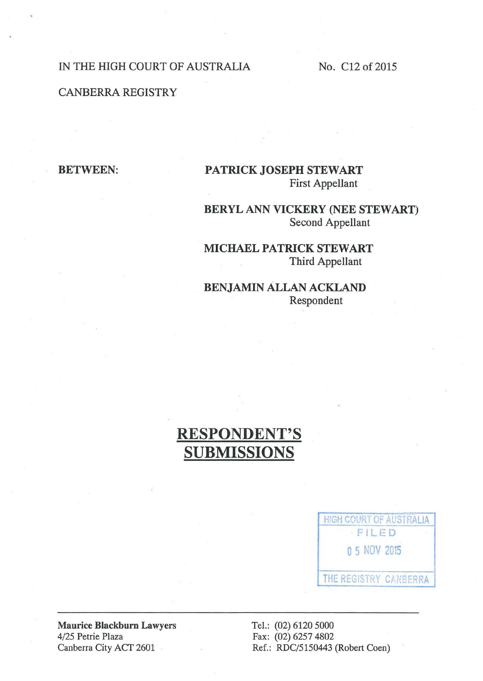### IN THE HIGH COURT OF AUSTRALIA No. C12 of 2015

## CANBERRA REGISTRY

**BETWEEN:** 

## PATRICK JOSEPH STEWART First Appellant

BERYL ANN VICKERY (NEE STEWART) Second Appellant

MICHAEL PATRICK STEWART Third Appellant

BENJAMIN ALLAN ACKLAND Respondent

# RESPONDENT'S SUBMISSIONS



Maurice Blackburn Lawyers 4/25 Petrie Plaza Canberra City ACT 2601

Tel.: (02) 6120 5000 Fax: (02) 6257 4802 Ref.: RDC/5150443 (Robert Coen)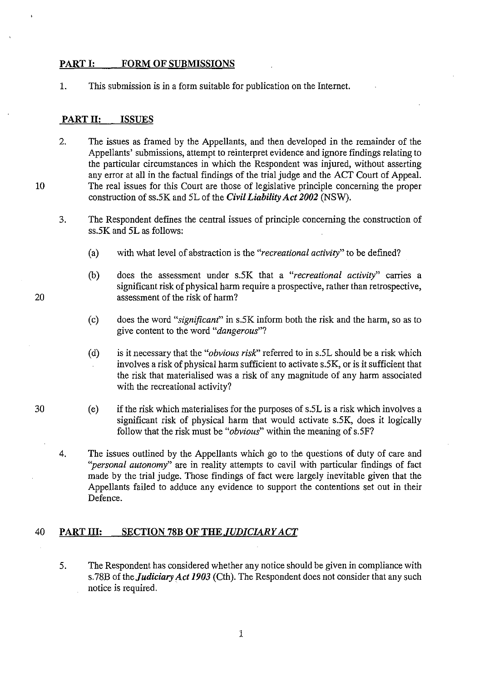#### **PART I: FORM OF SUBMISSIONS**

1. This submission is in a form suitable for publication on the Internet.

#### **PART II: ISSUES**

2. The issues as framed by the Appellants, and then developed in the remainder of the Appellants' submissions, attempt to reinterpret evidence and ignore findings relating to the particular circumstances in which the Respondent was injured, without asserting any error at all in the factual findings of the trial judge and the *ACT* Court of Appeal. The real issues for this Court are those of legislative principle concerning the proper construction of ss.SK and SL of the *Civil Liability Act 2002* (NSW).

3. The Respondent defines the central issues of principle concerning the construction of ss.SK and SL as follows:

- (a) with what level of abstraction is the *"recreational activity"* to be defined?
- (b) does the assessment under s.SK that a *"recreational activity"* carries a significant risk of physical harm require a prospective, rather than retrospective, assessment of the risk of harm?
- (c) does the word *"significant"* in s.SK inform both the risk and the harm, so as to give content to the word *"dangerous"?*
- (d) is it necessary that the *"obvious risR'* referred to in s.5L should be a risk which involves a risk of physical harm sufficient to activate s.5K, or is it sufficient that the risk that materialised was a risk of any magnitude of any harm associated with the recreational activity?
- (e) if the risk which materialises for the purposes of s.5L is a risk which involves a significant risk of physical harm that would activate s.5K, does it logically follow that the risk must be *"obvious"* within the meaning of s.5F?
- 4. The issues outlined by the Appellants which go to the questions of duty of care and *''personal autonomy"* are in reality attempts to cavil with particular findings of fact made by the trial judge. Those findings of fact were largely inevitable given that the Appellants failed to adduce any evidence to support the contentions set out in their Defence.

#### 40 **PART III: SECTION 78B OF THE** *JUDICIARY ACT*

5. The Respondent has considered whether any notice should be given in compliance with s.78B of the *Judiciary Act 1903* (Cth). The Respondent does not consider that any such notice is required.

20

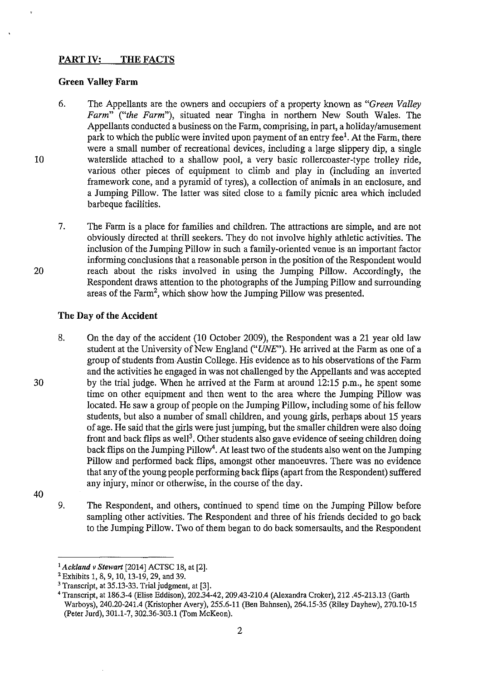## **PART IV: THE FACTS**

#### **Green Valley Farm**

- 6. The Appellants are the owners and occupiers of a property known as *"Green Valley Farm" ("the Farm"),* situated near Tingha in northern New South Wales. The Appellants conducted a business on the Farm, comprising, in part, a holiday/amusement park to which the public were invited upon payment of an entry fee<sup>1</sup>. At the Farm, there were a small number of recreational devices, including a large slippery dip, a single waterslide attached to a shallow pool, a very basic rollercoaster-type trolley ride, various other pieces of equipment to climb and play in (including an inverted framework cone, and a pyramid of tyres), a collection of animals in an enclosure, and a Jumping Pillow. The latter was sited close to a family picnic area which included barbeque facilities.
- 7. The Farm is a place for families and children. The attractions are simple, and are not obviously directed at thrill seekers. They do not involve highly athletic activities. The inclusion of the Jumping Pillow in such a family-oriented venue is an important factor informing conclusions that a reasonable person in the position of the Respondent would reach about the risks involved in using the Jumping Pillow. Accordingly, the Respondent draws attention to the photographs of the Jumping Pillow and surrounding areas of the Farm<sup>2</sup>, which show how the Jumping Pillow was presented.

#### **The Day of the Accident**

- 8. On the day of the accident (10 October 2009), the Respondent was a 21 year old law student at the University of New England ("UNE'). He arrived at the Farm as one of a group of students from Austin College. His evidence as to his observations of the Farm and the activities he engaged in was not challenged by the Appellants and was accepted by the trial judge. When he arrived at the Farm at around 12:15 p.m., he spent some time on other equipment and then went to the area where the Jumping Pillow was located. He saw a group of people on the Jumping Pillow, including some of his fellow students, but also a number of small children, and young girls, perhaps about 15 years of age. He said that the girls were just jumping, but the smaller children were also doing front and back flips as well<sup>3</sup>. Other students also gave evidence of seeing children doing back flips on the Jumping Pillow<sup>4</sup>. At least two of the students also went on the Jumping Pillow and performed back flips, amongst other manoeuvres. There was no evidence that any of the young people performing back flips (apart from the Respondent) suffered any injury, minor or otherwise, in the course of the day.
- 40

10

20

30

9. The Respondent, and others, continued to spend time on the Jumping Pillow before sampling other activities. The Respondent and three of his friends decided to go back to the Jumping Pillow. Two of them began to do back somersaults, and the Respondent

<sup>1</sup>*Ackland v Stewart* [2014] *ACTSC* 18, at [2].

<sup>2</sup> Exhibits 1, 8, 9, 10, 13-19, 29, and 39.

<sup>3</sup> Transcript, at 35.13-33. Trial judgment, at [3].

<sup>4</sup> Transcript, at 186.3-4 (Elise Eddison), 202.34-42,209.43-210.4 (Alexandra Croker), 212 .45-213.13 (Garth Warboys), 240.20-241.4 (Kristopher Avery), 255.6-11 (Ben Bahnsen), 264.15-35 (Riley Dayhew), 270.10-15 (Peter Jurd), 301.1-7, 302.36-303.1 (Tom McKeon).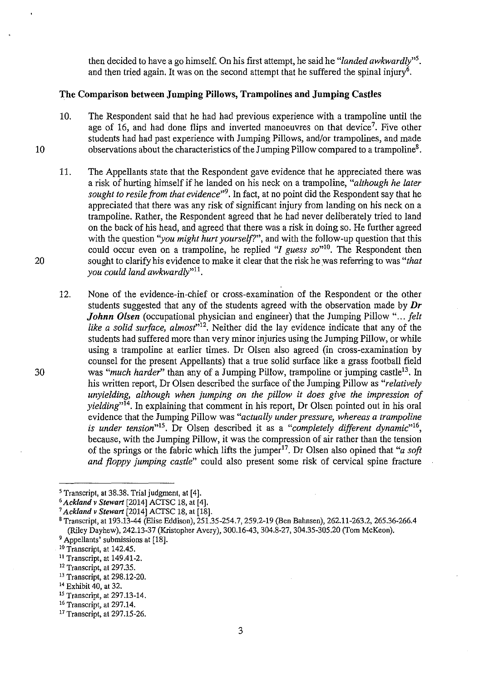then decided to have a go himself. On his first attempt, he said he *"landed awkwardly"5.*  and then tried again. It was on the second attempt that he suffered the spinal injury<sup>6</sup>.

#### **The Comparison between Jumping Pillows, Trampolines and Jumping Castles**

- 10. The Respondent said that he had had previous experience with a trampoline until the age of 16, and had done flips and inverted manoeuvres on that device<sup>7</sup>. Five other students had had past experience with Jumping Pillows, and/or trampolines, and made observations about the characteristics of the Jumping Pillow compared to a trampoline8.
- 11. The Appellants state that the Respondent gave evidence that he appreciated there was a risk of hurting himself if he landed on his neck on a trampoline, *"although he later sought to resile from that evidence"9•* In fact, at no point did the Respondent say that he appreciated that there was any risk of significant injury from landing on his neck on a trampoline. Rather, the Respondent agreed that he had never deliberately tried to land on the back of his head, and agreed that there was a risk in doing so. He further agreed with the question *"you might hurt yourself?"*, and with the follow-up question that this could occur even on a trampoline, he replied "*I guess so*"<sup>10</sup>. The Respondent then sought to clarify his evidence to make it clear that the risk he was referring to was *"that you could land awkwardly"11 •*
- 12. None of the evidence-in-chief or cross-examination of the Respondent or the other students suggested that any of the students agreed with the observation made by **Dr**  *Johnn Olsen* (occupational physician and engineer) that the Jumping Pillow "... felt *like a solid surface, almost"*12• Neither did the lay evidence indicate that any of the students had suffered more than very minor injuries using the Jumping Pillow, or while using a trampoline at earlier times. Dr Olsen also agreed (in cross-examination by counsel for the present Appellants) that a true solid surface like a grass football field was "much harder" than any of a Jumping Pillow, trampoline or jumping castle<sup>13</sup>. In his written report, Dr Olsen described the surface of the Jumping Pillow as *"relatively unyielding, although when jumping on the pillow it does give the impression of yielding*<sup>"<sup>14</sup>. In explaining that comment in his report, Dr Olsen pointed out in his oral</sup> evidence that the Jumping Pillow was *"actually under pressure, whereas a trampoline is under tension*<sup>15</sup>. Dr Olsen described it as a "completely different dynamic<sup>116</sup>, because, with the Jumping Pillow, it was the compression of air rather than the tension of the springs or the fabric which lifts the jumper<sup>17</sup>. Dr Olsen also opined that "*a soft*" *and floppy jumping castle"* could also present some risk of cervical spine fracture

20

30

<sup>&</sup>lt;sup>5</sup> Transcript, at 38.38. Trial judgment, at [4].<br><sup>6</sup> Ackland v Stewart [2014] ACTSC 18, at [4].

<sup>6</sup>*Ackland v Stewart* [2014] *ACTSC* 18, at [4]. 7 *Ackland v Stewart* [2014] *ACTSC* 18, at [18].

<sup>8</sup> Transcript, at 193.13-44 (Elise Eddison), 251.35-254.7,259.2-19 (Ben Bahnsen), 262.11-263.2, 265.36-266.4 (Riley Dayhew), 242.13-37 (Kristopher Avery), 300.16-43, 304.8-27, 304.35-305.20 (Tom McKeon).

<sup>&</sup>lt;sup>9</sup> Appellants' submissions at [18].<br><sup>10</sup> Transcript, at 142.45.<br><sup>11</sup> Transcript, at 149.41-2.

<sup>&</sup>lt;sup>12</sup> Transcript, at 297.35.

<sup>13</sup> Transcript, at 298.12-20.

<sup>14</sup> Exhibit 40, at 32.

<sup>&</sup>lt;sup>15</sup> Transcript, at 297.13-14.<br><sup>16</sup> Transcript, at 297.14.<br><sup>17</sup> Transcript, at 297.15-26.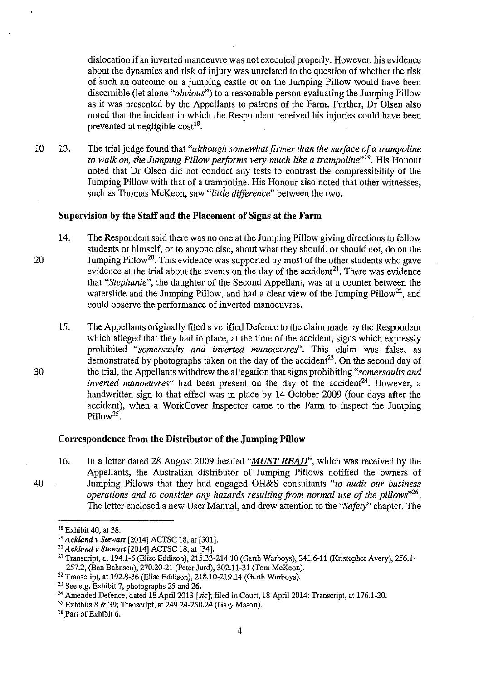dislocation if an inverted manoeuvre was not executed properly. However, his evidence about the dynamics and risk of injury was unrelated to the question of whether the risk of such an outcome on a jumping castle or on the Jumping Pillow would have been discernible (let alone *"obvious")* to a reasonable person evaluating the Jumping Pillow as it was presented by the Appellants to patrons of the Farm. Further, Dr Olsen also noted that the incident in which the Respondent received his injuries could have been prevented at negligible  $cost^{18}$ .

10 13. The trial judge found that *"although somewhat firmer than the surface of a trampoline to walk on, the Jumping Pillow performs very much like a trampoline"19•* His Honour noted that Dr Olsen did not conduct any tests to contrast the compressibility of the Jumping Pillow with that of a trampoline. His Honour also noted that other witnesses, such as Thomas McKeon, saw *"little difference"* between the two.

#### **Supervision by the Staff and the Placement of Signs at the Farm**

- 14. The Respondent said there was no one at the Jumping Pillow giving directions to fellow students or himself, or to anyone else, about what they should, or should not, do on the Jumping Pillow<sup>20</sup>. This evidence was supported by most of the other students who gave evidence at the trial about the events on the day of the accident<sup>21</sup>. There was evidence that *"Stephanie",* the daughter of the Second Appellant, was at a counter between the waterslide and the Jumping Pillow, and had a clear view of the Jumping Pillow<sup>22</sup>, and could observe the performance of inverted manoeuvres.
- 15. The Appellants originally filed a verified Defence to the claim made by the Respondent which alleged that they had in place, at the time of the accident, signs which expressly prohibited *"somersaults and inverted manoeuvres".* This claim was false, as demonstrated by photographs taken on the day of the accident<sup>23</sup>. On the second day of the trial, the Appellants withdrew the allegation that signs prohibiting *"somersaults and inverted manoeuvres*" had been present on the day of the accident<sup>24</sup>. However, a handwritten sign to that effect was in place by 14 October 2009 (four days after the accident), when a WorkCover Inspector came to the Farm to inspect the Jumping Pillow<sup>25</sup>.

#### **Correspondence from the Distributor of the Jumping Pillow**

16. In a letter dated 28 August 2009 headed *"MUST READ",* which was received by the Appellants, the Australian distributor of Jumping Pillows notified the owners of Jumping Pillows that they had engaged OH&S consultants *"to audit our business operations and to consider any hazards resulting from normal use of the pillows"26 •*  The letter enclosed a new User Manual, and drew attention to the *"Safety"* chapter. The

20

30

40

<sup>&</sup>lt;sup>18</sup> Exhibit 40, at 38.<br><sup>19</sup> Ackland v Stewart [2014] ACTSC 18, at [301].<br><sup>20</sup> Ackland v Stewart [2014] ACTSC 18, at [34].<br><sup>21</sup> Transcript, at 194.1-6 (Elise Eddison), 215.33-214.10 (Garth Warboys), 241.6-11 (Kristopher A 257.2, (Ben Bahnsen), 270.20-21 (Peter Jurd), 302.11-31 (Tom McKeon).

<sup>&</sup>lt;sup>22</sup> Transcript, at 192.8-36 (Elise Eddison), 218.10-219.14 (Garth Warboys).<br><sup>23</sup> See e.g. Exhibit 7, photographs 25 and 26.

<sup>&</sup>lt;sup>24</sup> Amended Defence, dated 18 April 2013 [sic]; filed in Court, 18 April 2014: Transcript, at 176.1-20.

<sup>25</sup> Exhibits 8 & 39; Transcript, at 249.24-250.24 (Gary Mason).

<sup>26</sup> Part of Exhibit 6.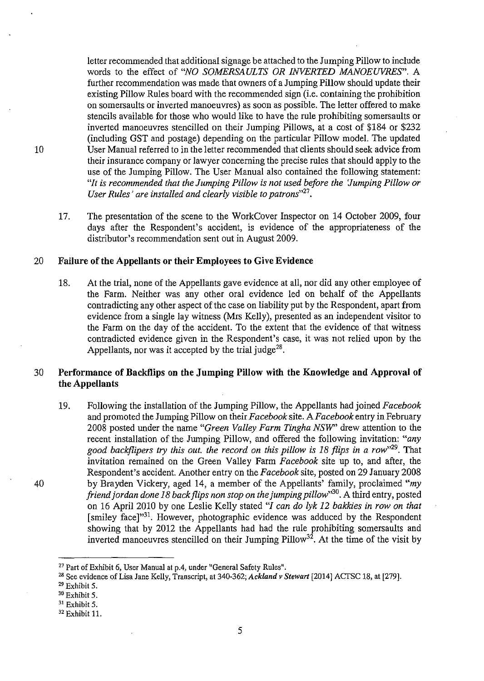letter recommended that additional signage be attached to the Jumping Pillow to include words to the effect of *"NO SOMERSAULTS OR INVERTED MANOEUVRES".* A further recommendation was made that owners of a Jumping Pillow should update their existing Pillow Rules board with the recommended sign (i.e. containing the prohibition on somersaults or inverted manoeuvres) as soon as possible. The letter offered to make stencils available for those who would like to have the rule prohibiting somersaults or inverted manoeuvres stencilled on their Jumping Pillows, at a cost of \$184 or \$232 (including GST and postage) depending on the particular Pillow model. The updated User Manual referred to in the letter recommended that clients should seek advice from their insurance company or lawyer concerning the precise rules that should apply to the use of the Jumping Pillow. The User Manual also contained the following statement: *"It is recommended that the Jumping Pillow is not used before the 'Jumping Pillow or User Rules' are installed and clearly visible to patrons"27•* 

17. The presentation of the scene to the WorkCover Inspector on 14 October 2009, four days after the Respondent's accident, is evidence of the appropriateness of the distributor's recommendation sent out in August 2009.

#### 20 **Failure of the Appellants or their Employees to Give Evidence**

18. At the trial, none of the Appellants gave evidence at all, nor did any other employee of the Farm. Neither was any other oral evidence led on behalf of the Appellants contradicting any other aspect of the case on liability put by the Respondent, apart from evidence from a single lay witness (Mrs Kelly), presented as an independent visitor to the Farm on the day of the accident. To the extent that the evidence of that witness contradicted evidence given in the Respondent's case, it was not relied upon by the Appellants, nor was it accepted by the trial judge<sup>28</sup>.

## 30 **Performance of Backflips on the Jumping Pillow with the Knowledge and Approval of the Appellants**

19. Following the installation of the Jumping Pillow, the Appellants had joined *Facebook*  and promoted the Jumping Pillow on their *Facebook* site. *AFacebook* entry in February 2008 posted under the name *"Green Valley Farm Tingha NSW'* drew attention to the recent installation of the Jumping Pillow, and offered the following invitation: *"any good backflipers try this out. the record on this pillow* is *18 flips in a row"29.* That invitation remained on the Green Valley Farm *Facebook* site up to, and after, the Respondent's accident. Another entry on the *Facebook* site, posted on 29 January 2008 by Brayden Vickery, aged 14, a member of the Appellants' family, proclaimed *"my friend jordan done 18 back flips non stop on the jumping pillow*"30. A third entry, posted on 16 April 2010 by one Leslie Kelly stated *"I can do lyk 12 bakkies in row on that*  [smiley face]<sup>31</sup>. However, photographic evidence was adduced by the Respondent showing that by 2012 the Appellants had had the rule prohibiting somersaults and inverted manoeuvres stencilled on their Jumping Pillow<sup>32</sup>. At the time of the visit by

40

<sup>27</sup>Part of Exhibit 6, User Manual at p.4, under "General Safety Rules".

<sup>28</sup> See evidence of Lisa Jane Kelly, Transcript, at 340-362; *Ackland v Stewart* [2014] ACTSC 18, at [279].

<sup>29</sup> Exhibit 5.

 $30$  Exhibit 5.<br> $31$  Exhibit 5.

<sup>&</sup>lt;sup>32</sup> Exhibit 11.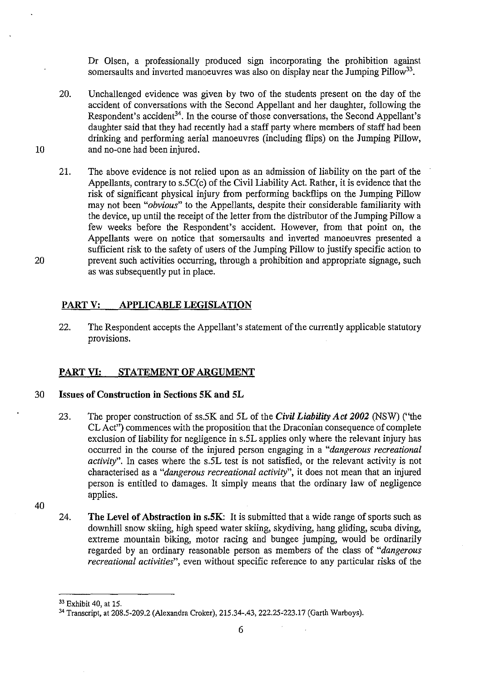Dr Olsen, a professionally produced sign incorporating the prohibition against somersaults and inverted manoeuvres was also on display near the Jumping Pillow<sup>33</sup>.

- 20. Unchallenged evidence was given by two of the students present on the day of the accident of conversations with the Second Appellant and her daughter, following the Respondent's accident<sup>34</sup>. In the course of those conversations, the Second Appellant's daughter said that they had recently had a staff party where members of staff had been drinking and performing aerial manoeuvres (including flips) on the Jumping Pillow, and no-one had been injured.
- 21. The above evidence is not relied upon as an admission of liability on the part of the Appellants, contrary to  $s.5C(c)$  of the Civil Liability Act. Rather, it is evidence that the risk of significant physical injury from performing backflips on the Jumping Pillow may not been *"obvious"* to the Appellants, despite their considerable familiarity with the device, up until the receipt of the letter from the distributor of the Jumping Pillow a few weeks before the Respondent's accident. However, from that point on, the Appellants were on notice that somersaults and inverted manoeuvres presented a sufficient risk to the safety of users of the Jumping Pillow to justify specific action to prevent such activities occurring, through a prohibition and appropriate signage, such as was subsequently put in place.

## **PART V: APPLICABLE LEGISLATION**

22. The Respondent accepts the Appellant's statement of the currently applicable statutory provisions.

## **PART VI: STATEMENT OF ARGUMENT**

#### 30 **Issues of Construction in Sections SK and SL**

- 23. The proper construction of ss.SK and SL of the *Civil Liability Act 2002* (NSW) ("the CL Act") commences with the proposition that the Draconian consequence of complete exclusion of liability for negligence in s.SL applies only where the relevant injury has occurred in the course of the injured person engaging in a *"dangerous recreational activity".* In cases where the s.SL test is not satisfied, or the relevant activity is not characterised as a *"dangerous recreational activity",* it does not mean that an injured person is entitled to damages. It simply means that the ordinary law of negligence applies.
- 40

10

20

24. **The Level of Abstraction in s.SK:** It is submitted that a wide range of sports such as downhill snow skiing, high speed water skiing, skydiving, hang gliding, scuba diving, extreme mountain biking, motor racing and bungee jumping, would be ordinarily regarded by an ordinary reasonable person as members of the class of *"dangerous recreational activities",* even without specific reference to any particular risks of the

<sup>33</sup> Exhibit 40, at 15.

<sup>34</sup> Transcript, at 208.5-209.2 (Alexandra Croker), 215.34-.43, 222.25-223.17 (Garth Warboys).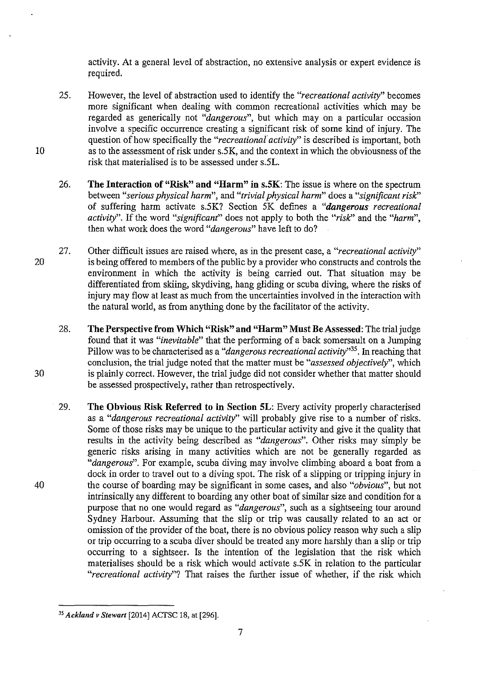activity. At a general level of abstraction, no extensive analysis or expert evidence is required.

- 25. However, the level of abstraction used to identify the *"recreational activity"* becomes more significant when dealing with common recreational activities which may be regarded as generically not *"dangerous",* but which may on a particular occasion involve a specific occurrence creating a significant risk of some kind of injury. The question of how specifically the *"recreational activity"* is described is important, both as to the assessment of risk under s.SK, and the context in which the obviousness of the risk that materialised is to be assessed under s.SL.
- 26. **The Interaction of "Risk" and "Harm" in s.SK:** The issue is where on the spectrum between "serious physical harm", and "trivial physical harm" does a "significant risk" of suffering harm activate s.SK? Section 5K defines a *"dangerous recreational activity".* If the word "*significant*" does not apply to both the "*risk*" and the "*harm*", then what work does the word *"dangerous"* have left to do?
- 20 27. Other difficult issues are raised where, as in the present case, a *"recreational activity"*  is being offered to members of the public by a provider who constructs and controls the environment in which the activity is being carried out. That situation may be differentiated from skiing, skydiving, hang gliding or scuba diving, where the risks of injury may flow at least as much from the uncertainties involved in the interaction with the natural world, as from anything done by the facilitator of the activity.
	- 28. **The Perspective from Which "Risk" and "Harm" Must Be Assessed:** The trial judge found that it was *"inevitable"* that the performing of a back somersault on a Jumping Pillow was to be characterised as a *"dangerous recreational activity"35•* In reaching that conclusion, the trial judge noted that the matter must be *"assessed objectively",* which is plainly correct. However, the trial judge did not consider whether that matter should be assessed prospectively, rather than retrospectively.
	- 29. **The Obvious Risk Referred to in Section SL:** Every activity properly characterised as a *"dangerous recreational activity"* will probably give rise to a number of risks. Some of those risks may be unique to the particular activity and give it the quality that results in the activity being described as *"dangerous".* Other risks may simply be generic risks arising in many activities which are not be generally regarded as *"dangerous".* For example, scuba diving may involve climbing aboard a boat from a dock in order to travel out to a diving spot. The risk of a slipping or tripping injury in the course of boarding may be significant in some cases, and also *"obvious",* but not intrinsically any different to boarding any other boat of similar size and condition for a purpose that no one would regard as *"dangerous",* such as a sightseeing tour around Sydney Harbour. Assuming that the slip or trip was causally related to an act or omission of the provider of the boat, there is no obvious policy reason why such a slip or trip occurring to a scuba diver should be treated any more harshly than a slip or trip occurring to a sightseer. Is the intention of the legislation that the risk which materialises should be a risk which would activate s.SK in relation to the particular *"recreational activity"?* That raises the further issue of whether, if the risk which

10

30

40

<sup>35</sup>*Ackland v Stewart* [2014] ACTSC 18, at [296].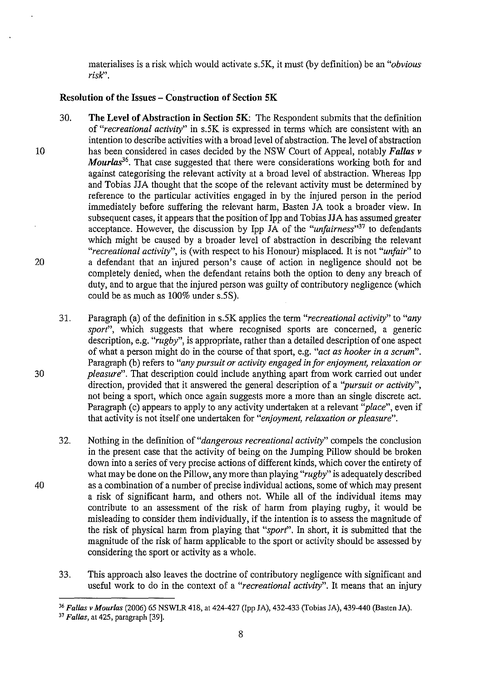materialises is a risk which would activate s.SK, it must (by definition) be an *"obvious*   $risk$ <sup>".</sup>

## **Resolution of the Issues - Construction of Section SK**

- 10 20 30. **The Level of Abstraction in Section SK:** The Respondent submits that the definition of *"recreational activity"* in s.SK is expressed in terms which are consistent with an intention to describe activities with a broad level of abstraction. The level of abstraction has been considered in cases decided by the NSW Court of Appeal, notably *Fallas v Mourlas*<sup>36</sup>. That case suggested that there were considerations working both for and against categorising the relevant activity at a broad level of abstraction. Whereas Ipp and Tobias JJA thought that the scope of the relevant activity must be determined by reference to the particular activities engaged in by the injured person in the period immediately before suffering the relevant harm, Basten JA took a broader view. In subsequent cases, it appears that the position of Ipp and Tobias JJA has assumed greater acceptance. However, the discussion by Ipp JA of the *"unfairness"<sup>31</sup>*to defendants which might be caused by a broader level of abstraction in describing the relevant *"recreational activity",* is (with respect to his Honour) misplaced. It is not *"unfair"* to a defendant that an injured person's cause of action in negligence should not be completely denied, when the defendant retains both the option to deny any breach of duty, and to argue that the injured person was guilty of contributory negligence (which could be as much as 100% under s.SS).
	- 31. Paragraph (a) of the definition in s.SK applies the term *"recreational activity"* to *"any sport*", which suggests that where recognised sports are concerned, a generic description, e.g. *"rugby",* is appropriate, rather than a detailed description of one aspect of what a person might do in the course of that sport, e.g. *"act as hooker in a serum".*  Paragraph (b) refers to *"any pursuit or activity engaged in for enjoyment, relaxation or pleasure".* That description could include anything apart from work carried out under direction, provided that it answered the general description of a *"pursuit or activity",*  not being a sport, which once again suggests more a more than an single discrete act. Paragraph (c) appears to apply to any activity undertaken at a relevant *''place",* even if that activity is not itself one undertaken for *"enjoyment, relaxation or pleasure".*
	- 32. Nothing in the definition of *"dangerous recreational activity"* compels the conclusion in the present case that the activity of being on the Jumping Pillow should be broken down into a series of very precise actions of different kinds, which cover the entirety of what may be done on the Pillow, anymore than playing *"rugby"* is adequately described as a combination of a number of precise individual actions, some of which may present a risk of significant harm, and others not. While all of the individual items may contribute to an assessment of the risk of harm from playing rugby, it would be misleading to consider them individually, if the intention is to assess the magnitude of the risk of physical harm from playing that *"sport".* In short, it is submitted that the magnitude of the risk of harm applicable to the sport or activity should be assessed by considering the sport or activity as a whole.
	- 33. This approach also leaves the doctrine of contributory negligence with significant and useful work to do in the context of a *"recreational activity".* It means that an injury

30

<sup>36</sup>*Fa/las v Mour/as* (2006) 65 NSWLR 418, at 424-427 (Ipp JA), 432-433 (Tobias JA), 439-440 (Basten JA).

<sup>37</sup> *Fa/las,* at 425, paragraph [39].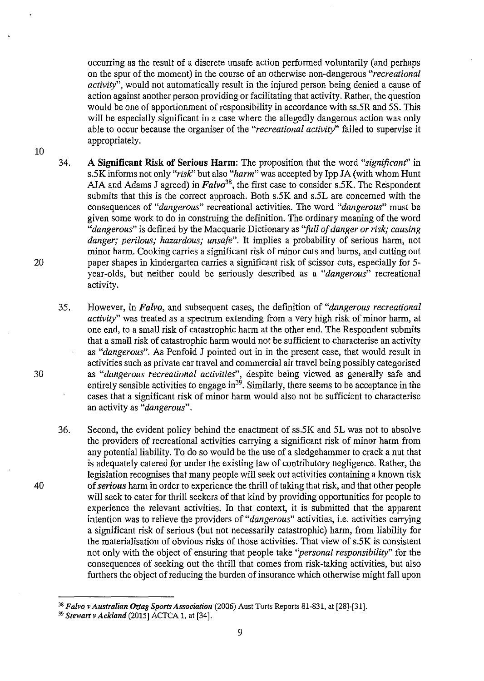occurring as the result of a discrete unsafe action performed voluntarily (and perhaps on the spur of the moment) in the course of an otherwise non-dangerous *"recreational activity",* would not automatically result in the injured person being denied a cause of action against another person providing or facilitating that activity. Rather, the question would be one of apportionment of responsibility in accordance with ss.5R and 5S. This will be especially significant in a case where the allegedly dangerous action was only able to occur because the organiser of the *"recreational activity"* failed to supervise it appropriately.

- 34. A Significant Risk of Serious Harm: The proposition that the word *"significant"* in s.5K informs not only *"risk:'* but also *"harm"* was accepted by Ipp JA (with whom Hunt AJA and Adams J agreed) in *Falvo*<sup>38</sup>, the first case to consider s.5K. The Respondent submits that this is the correct approach. Both s.5K and s.5L are concerned with the consequences of *"dangerous"* recreational activities. The word *"dangerous"* must be given some work to do in construing the definition. The ordinary meaning of the word *"dangerous"* is defined by the Macquarie Dictionary as *"full of danger or risk; causing danger; perilous; hazardous; unsafe".* It implies a probability of serious harm, not minor harm. Cooking carries a significant risk of minor cuts and burns, and cutting out paper shapes in kindergarten carries a significant risk of scissor cuts, especially for 5 year-olds, but neither could be seriously described as a *"dangerous"* recreational activity.
- 35. However, in *Falvo,* and subsequent cases, the definition of *"dangerous recreational activity"* was treated as a spectrum extending from a very high risk of minor harm, at one end, to a small risk of catastrophic harm at the other end. The Respondent submits that a small risk of catastrophic harm would not be sufficient to characterise an activity as *"dangerous".* As Penfold J pointed out in in the present case, that would result in activities such as private car travel and commercial air travel being possibly categorised as *"dangerous recreational activities",* despite being viewed as generally safe and entirely sensible activities to engage in<sup>39</sup>. Similarly, there seems to be acceptance in the cases that a significant risk of minor harm would also not be sufficient to characterise an activity as *"dangerous".*
- 36. Second, the evident policy behind the enactment of ss.5K and 5L was not to absolve the providers of recreational activities carrying a significant risk of minor harm from any potential liability. To do so would be the use of a sledgehammer to crack a nut that is adequately catered for under the existing law of contributory negligence. Rather, the legislation recognises that many people will seek out activities containing a known risk of *serious* harm in order to experience the thrill of taking that risk, and that other people will seek to cater for thrill seekers of that kind by providing opportunities for people to experience the relevant activities. In that context, it is submitted that the apparent intention was to relieve the providers of *"dangerous"* activities, i.e. activities carrying a significant risk of serious (but not necessarily catastrophic) harm, from liability for the materialisation of obvious risks of those activities. That view of s.5K is consistent not only with the object of ensuring that people take *"personal responsibility"* for the consequences of seeking out the thrill that comes from risk -taking activities, but also furthers the object of reducing the burden of insurance which otherwise might fall upon

30

20

10

<sup>38</sup>*Falvo v Australian Oztag Sports Association* (2006) Aust Torts Reports 81-831, at [28]-[31].

<sup>39</sup>*Stewart v Ackland* (2015] *ACTCA* 1, at [34].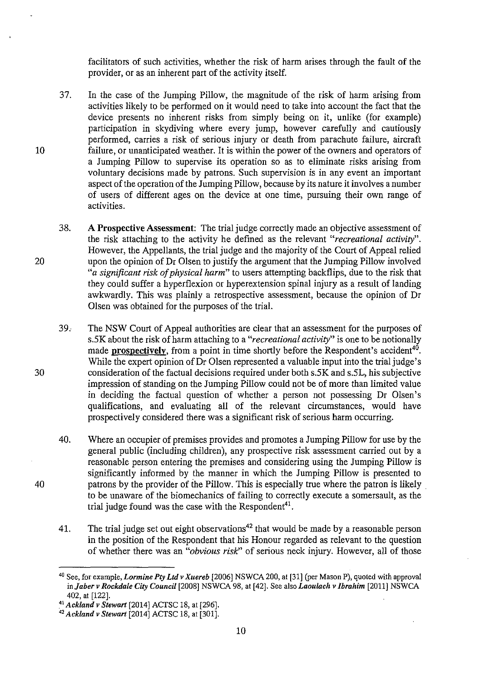facilitators of such activities, whether the risk of harm arises through the fault of the provider, or as an inherent part of the activity itself.

- 37. In the case of the Jumping Pillow, the magnitude of the risk of harm arising from activities likely to be performed on it would need to take into account the fact that the device presents no inherent risks from simply being on it, unlike (for example) participation in skydiving where every jump, however carefully and cautiously performed, carries a risk of serious injury or death from parachute failure, aircraft failure, or unanticipated weather. It is within the power of the owners and operators of a Jumping Pillow to supervise its operation so as to eliminate risks arising from voluntary decisions made by patrons. Such supervision is in any event an important aspect of the operation of the Jumping Pillow, because by its nature it involves a number of users of different ages on the device at one time, pursuing their own range of activities.
- 38. **A Prospective Assessment:** The trial judge correctly made an objective assessment of the risk attaching to the activity he defined as the relevant *"recreational activity".*  However, the Appellants, the trial judge and the majority of the Court of Appeal relied upon the opinion of Dr Olsen to justify the argument that the Jumping Pillow involved *"a significant risk of physical harm"* to users attempting backflips, due to the risk that they could suffer a hyperflexion or hyperextension spinal injury as a result of landing awkwardly. This was plainly a retrospective assessment, because the opinion of Dr Olsen was obtained for the purposes of the trial.
- 39. The NSW Court of Appeal authorities are clear that an assessment for the purposes of *s.SK* about the risk of harm attaching to a *"recreational activity"* is one to be notionally made **prospectively**, from a point in time shortly before the Respondent's accident<sup>40</sup>. While the expert opinion of Dr Olsen represented a valuable input into the trial judge's consideration of the factual decisions required under both *s.SK* and s.SL, his subjective impression of standing on the Jumping Pillow could not be of more than limited value in deciding the factual question of whether a person not possessing Dr Olsen's qualifications, and evaluating all of the relevant circumstances, would have prospectively considered there was a significant risk of serious harm occurring.
- 40. Where an occupier of premises provides and promotes a Jumping Pillow for use by the general public (including children), any prospective risk assessment carried out by a reasonable person entering the premises and considering using the Jumping Pillow is significantly informed by the manner in which the Jumping Pillow is presented to patrons by the provider of the Pillow. This is especially true where the patron is likely . to be unaware of the biomechanics of failing to correctly execute a somersault, as the trial judge found was the case with the Respondent<sup>41</sup>.
- 41. The trial judge set out eight observations<sup>42</sup> that would be made by a reasonable person in the position of the Respondent that his Honour regarded as relevant to the question of whether there was an *"obvious risk"* of serious neck injury. However, all of those

10

30

10

20

<sup>40</sup> See, for example, *Lormine Pty Ltd v Xuereb* [2006] NSWCA 200, at [31] (per Mason P), quoted with approval in *Jaber v Rockdale City Council* (2008] NSWCA 98, at (42]. See also *Laoulach v Ibrahim* [2011] NSWCA 402, at (122].

<sup>41</sup>*Ackland v Stewart* [2014] ACfSC 18, at [296].

<sup>42</sup>*Ackland v Stewart* [2014] ACTSC 18, at [301].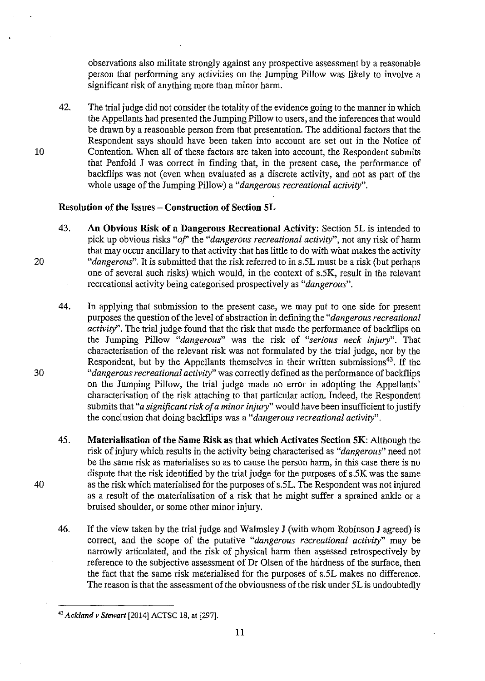observations also militate strongly against any prospective assessment by a reasonable person that performing any activities on the Jumping Pillow was likely to involve a significant risk of anything more than minor harm.

42. The trial judge did not consider the totality of the evidence going to the manner in which the Appellants had presented the Jumping Pillow to users, and the inferences that would be drawn by a reasonable person from that presentation. The additional factors that the Respondent says should have been taken into account are set out in the Notice of Contention. When all of these factors are taken into account, the Respondent submits that Penfold **J** was correct in finding that, in the present case, the performance of backflips was not (even when evaluated as a discrete activity, and not as part of the whole usage of the Jumping Pillow) a *"dangerous recreational activity".* 

#### **Resolution of the Issues- Construction of Section SL**

- 43. **An Obvious Risk of a Dangerous Recreational Activity:** Section 5L is intended to pick up obvious risks *"of'* the *"dangerous recreational activity",* not any risk of harm that may occur ancillary to that activity that has little to do with what makes the activity *"dangerous".* It is submitted that the risk referred to in s.5L must be a risk (but perhaps one of several such risks) which would, in the context of *s.SK,* result in the relevant recreational activity being categorised prospectively as *"dangerous".*
- 44. In applying that submission to the present case, we may put to one side for present purposes the question of the level of abstraction in defining the *"dangerous recreational activity".* The trial judge found that the risk that made the performance of backflips on the Jumping Pillow *"dangerous"* was the risk of *"serious neck injury".* That characterisation of the relevant risk was not formulated by the trial judge, nor by the Respondent, but by the Appellants themselves in their written submissions<sup>43</sup>. If the *"dangerous recreational activity"* was correctly defined as the performance of backflips on the Jumping Pillow, the trial judge made no error in adopting the Appellants' characterisation of the risk attaching to that particular action. Indeed, the Respondent submits that *"a significant risk of a minor injury"* would have been insufficient to justify the conclusion that doing backflips was a *"dangerous recreational activity".*
- 45. **Materialisation of the Same Risk as that which Activates Section SK:** Although the risk of injury which results in the activity being characterised as *"dangerous"* need not be the same risk as materialises so as to cause the person harm, in this case there is no dispute that the risk identified by the trial judge for the purposes of *s.SK* was the same as the risk which materialised for the purposes of s.5L. The Respondent was not injured as a result of the materialisation of a risk that he might suffer a sprained ankle or a bruised shoulder, or some other minor injury.
- 46. If the view taken by the trial judge and Walmsley J (with whom Robinson J agreed) is correct, and the scope of the putative *"dangerous recreational activity"* may be narrowly articulated, and the risk of physical harm then assessed retrospectively by reference to the subjective assessment of Dr Olsen of the hardness of the surface, then the fact that the same risk materialised for the purposes of s.SL makes no difference. The reason is that the assessment of the obviousness of the risk under 5L is undoubtedly

11

20

10

30

<sup>43</sup>*Ackland v Stewart* [2014] ACTSC 18, at [297].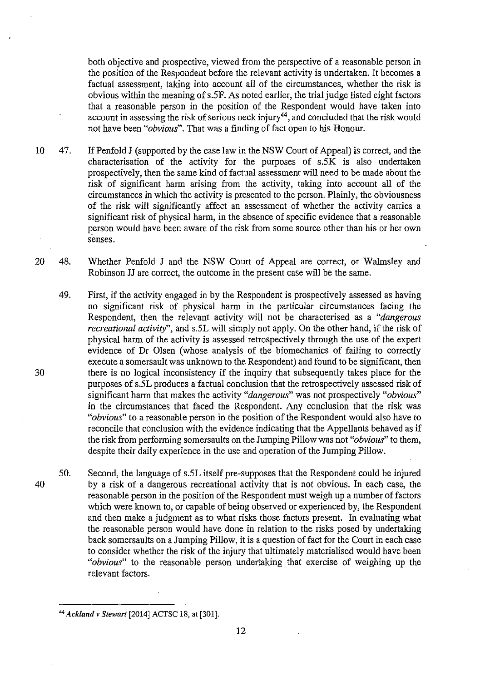both objective and prospective, viewed from the perspective of a reasonable person in the position of the Respondent before the relevant activity is undertaken. It becomes a factual assessment, taking into account all of the circumstances, whether the risk is obvious within the meaning of s.SF. As noted earlier, the trial judge listed eight factors that a reasonable person in the position of the Respondent would haye taken into account in assessing the risk of serious neck injury<sup>44</sup>, and concluded that the risk would not have been *"obvious".* That was a finding of fact open to his Honour.

- 10 47. If Penfold J (supported by the case law in the NSW Court of Appeal) is correct, and the characterisation of the activity for the purposes of s.SK is also undertaken prospectively, then the same kind of factual assessment will need to be made about the risk of significant harm arising from the activity, taking into account all of the circumstances in which the activity is presented to the person. Plainly, the obviousness of the risk will significantly affect an assessment of whether the activity carries a significant risk of physical harm, in the absence of specific evidence that a reasonable person would have been aware of the risk from some source other than his or her own senses.
- 20 48. Whether Penfold J and the NSW Court of Appeal are correct, or Walmsley and Robinson JJ are correct, the outcome in the present case will be the same.
	- 49. First, if the activity engaged in by the Respondent is prospectively assessed as having no significant risk of physical harm in the particular circumstances facing the Respondent, then the relevant activity will not be characterised as a *"dangerous recreational activity",* and s.SL will simply not apply. On the other hand, if the risk of physical harm of the activity is assessed retrospectively through the use of the expert evidence of Dr Olsen (whose analysis of the biomechanics of failing to correctly execute a somersault was unknown to the Respondent) and found to be significant, then there is no logical inconsistency if the inquiry that subsequently takes place for the purposes of s.SL produces a factual conclusion that the retrospectively assessed risk of significant harm that makes the activity *"dangerous"* was not prospectively *"obvious"*  in the circumstances that faced the Respondent. Any conclusion that the risk was *"obvious"* to a reasonable person in the position of the Respondent would also have to reconcile that conclusion with the evidence indicating that the Appellants behaved as if the risk from performing somersaults on the Jumping Pillow was not *"obvious"* to them, despite their daily experience in the use and operation of the Jumping Pillow.
	- 50. Second, the language of s.SL itself pre-supposes that the Respondent could be injured by a risk of a dangerous recreational activity that is not obvious. In each case, the reasonable person in the position of the Respondent must weigh up a number of factors which were known to, or capable of being observed or experienced by, the Respondent and then make a judgment as to what risks those factors present. In evaluating what the reasonable person would have done in relation to the risks posed by undertaking back somersaults on a Jumping Pillow, it is a question of fact for the Court in each case to consider whether the risk of the injury that ultimately materialised would have been *"obvious"* to the reasonable person undertaking that exercise of weighing up the relevant factors.

40

<sup>44</sup>*Ackland v Stewart* [2014] ACTSC 18, at [301].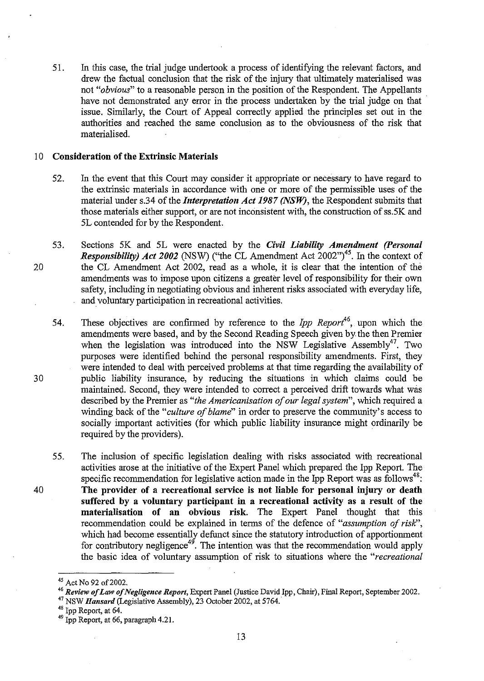51. In this case, the trial judge undertook a process of identifying the relevant factors, and drew the factual conclusion that the risk of the injury that ultimately materialised was not *"obvious"* to a reasonable person in the position of the Respondent. The Appellants have not demonstrated any error in the process undertaken by the trial judge on that issue. Similarly, the Court of Appeal correctly applied the principles set out in the authorities and reached the same conclusion as to the obviousness of the risk that materialised.

#### 10 Consideration of the Extrinsic Materials

20

30

- 52. In the event that this Court may consider it appropriate or necessary to have regard to the extrinsic materials in accordance with one or more of the permissible uses of the material under s.34 of the *Interpretation Act 1987 (NSW},* the Respondent submits that those materials either support, or are not inconsistent with, the construction of ss.5K and 5L contended for by the Respondent.
- 53. Sections 5K and 5L were enacted by the *Civil Liability Amendment (Personal Responsibility) Act 2002* (NSW) ("the CL Amendment Act  $2002"$ <sup>45</sup>. In the context of the CL Amendment Act 2002, read as a whole, it is clear that the intention of the amendments was to impose upon citizens a greater level of responsibility for their own safety, including in negotiating obvious and inherent risks associated with everyday life, and voluntary participation in recreational activities.
	- 54. These objectives are confirmed by reference to the *Ipp Reporl*<sup>6</sup> , upon which the amendments were based, and by the Second Reading Speech given by the then Premier when the legislation was introduced into the NSW Legislative Assembly<sup>47</sup>. Two purposes were identified behind the personal responsibility amendments. First, they were intended to deal with perceived problems at that time regarding the availability of public liability insurance, by reducing the situations in which claims could be maintained. Second, they were intended to correct a perceived drift towards what was described by the Premier as "*the Americanisation of our legal system*", which required a winding back of the *"culture of blame"* in order to preserve the community's access to socially important activities (for which public liability insurance might ordinarily be required by the providers).
	- 55. The inclusion of specific legislation dealing with risks associated with recreational activities arose at the initiative of the Expert Panel which prepared the Ipp Report. The specific recommendation for legislative action made in the Ipp Report was as follows<sup>48</sup>: The provider of a recreational service is not liable for personal injury or death suffered by a voluntary participant in a recreational activity as a result of the materialisation of an obvious risk. The Expert Panel thought that this recommendation could be explained in terms of the defence of "assumption of risk", which had become essentially defunct since the statutory introduction of apportionment for contributory negligence<sup>49</sup>. The intention was that the recommendation would apply the basic idea of voluntary assumption of risk to situations where the *"recreational*

<sup>&</sup>lt;sup>45</sup> Act No 92 of 2002.

<sup>46</sup>*Review of Law ofNegligmce Report,* Expert Panel (Justice David Ipp, Chair), Fiual Report, September 2002. <sup>47</sup> NSW *Hansard* (Legislative Assembly), 23 October 2002, at 5764.

<sup>48</sup> Ipp Report, at 64.

<sup>49</sup> Ipp Report, at 66, paragraph 4.21.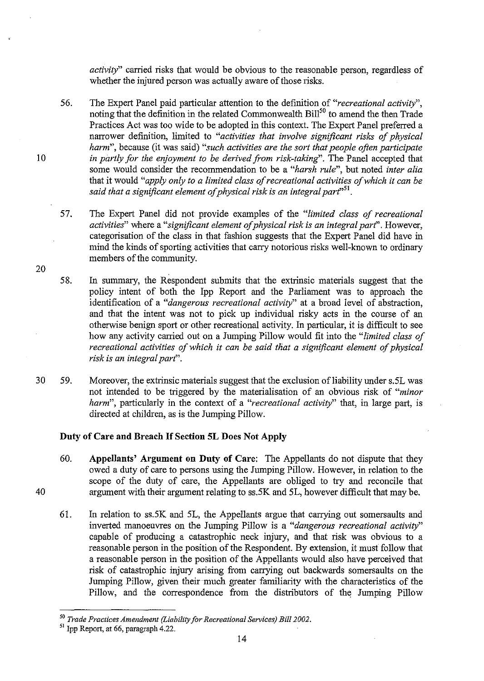*activity"* carried risks that would be obvious to the reasonable person, regardless of whether the injured person was actually aware of those risks.

- 56. The Expert Panel paid particular attention to the definition of *"recreational activity",*  noting that the definition in the related Commonwealth  $\text{Bill}^{50}$  to amend the then Trade Practices Act was too wide to be adopted in this context. The Expert Panel preferred a narrower definition, limited to *"activities that involve significant risks of physical harm",* because (it was said) *"such activities are the sort that people often participate*  in partly for the enjoyment to be derived from risk-taking". The Panel accepted that some would consider the recommendation to be a *"harsh rule",* but noted *inter alia*  that it would *"apply only to a limited class of recreational activities of which it can be said that a significant element of physical risk* is *an integral part''<sup>51</sup> •*
- 57. The Expert Panel did not provide examples of the *"limited class of recreational activities"* where a *"significant element of physical risk* is *an integral part''.* However, categorisation of the class in that fashion suggests that the Expert Panel did have in mind the kinds of sporting activities that carry notorious risks well-known to ordinary members of the community.
- 58. In summary, the Respondent submits that the extrinsic materials suggest that the policy intent of both the Ipp Report and the Parliament was to approach the identification of a *"dangerous recreational activity"* at a broad level of abstraction, and that the intent was not to pick up individual risky acts in the course of an otherwise benign sport or other recreational activity. In particular, it is difficult to see how any activity carried out on a Jumping Pillow would fit into the *"limited class of recreational activities of which* it *can be said that a significant element of physical risk* is *an integral part".*
- 30 59. Moreover, the extrinsic materials suggest that the exclusion of liability under s.5L was not intended to be triggered by the materialisation of an obvious risk of *"minor harm",* particularly in the context of a *"recreational activity"* that, in large part, is directed at children, as is the Jumping Pillow.

#### **Duty of Care and Breach If Section 5L Does Not Apply**

- 60. **Appellants' Argument on Duty of Care:** The Appellants do not dispute that they owed a duty of care to persons using the Jumping Pillow. However, in relation to the scope of the duty of care, the Appellants are obliged to try and reconcile that argument with their argument relating to ss.5K and 51, however difficult that may be.
- 61. In relation to ss.5K and 51, the Appellants argue that carrying out somersaults and inverted manoeuvres on the Jumping Pillow is a *"dangerous recreational activity"*  capable of producing a catastrophic neck injury, and that risk was obvious to a reasonable person in the position of the Respondent. By extension, it must follow that a reasonable person in the position of the Appellants would also have perceived that risk of catastrophic injury arising from carrying out backwards somersaults on the Jumping Pillow, given their much greater familiarity with the characteristics of the Pillow, and the correspondence from the distributors of the Jumping Pillow

20

40

<sup>50</sup>*Trade Practices Amendment (Liability for Recreational Services) Bill 2002.* 

*<sup>51</sup>*Ipp Report, at 66, paragraph 4.22.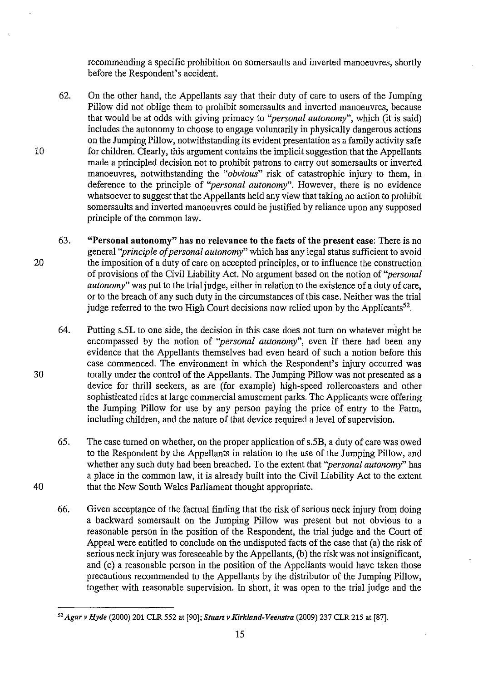recommending a specific prohibition on somersaults and inverted manoeuvres, shortly before the Respondent's accident.

- 62. On the other hand, the Appellants say that their duty of care to users of the Jumping Pillow did not oblige them to prohibit somersaults and inverted manoeuvres, because that would be at odds with giving primacy to *''personal autonomy",* which (it is said) includes the autonomy to choose to engage voluntarily in physically dangerous actions on the Jumping Pillow, notwithstanding its evident presentation as a family activity safe for children. Clearly, this argument contains the implicit suggestion that the Appellants made a principled decision not to prohibit patrons to carry out somersaults or inverted manoeuvres, notwithstanding the "obvious" risk of catastrophic injury to them, in deference to the principle of *''personal autonomy".* However, there is no evidence whatsoever to suggest that the Appellants held any view that taking no action to prohibit somersaults and inverted manoeuvres could be justified by reliance upon any supposed principle of the common law.
- 63. "Personal autonomy" has no relevance to the facts of the present case: There is no general *''principle of personal autonomy"* which has any legal status sufficient to avoid the imposition of a duty of care on accepted principles, or to influence the construction of provisions of the Civil Liability Act. No argument based on the notion of *''personal autonomy"* was put to the trial judge, either in relation to the existence of a duty of care, or to the breach of any such duty in the circumstances of this case. Neither was the trial judge referred to the two High Court decisions now relied upon by the Applicants<sup>52</sup>.
	- 64. Putting s.5L to one side, the decision in this case does not turn on whatever might be encompassed by the notion of *''personal autonomy",* even if there had been any evidence that the Appellants themselves had even heard of such a notion before this case commenced. The environment in which the Respondent's injury occurred was totally under the control of the Appellants. The Jumping Pillow was not presented as a device for thrill seekers, as are (for example) high-speed rollercoasters and other sophisticated rides at large commercial amusement parks. The Applicants were offering the Jumping Pillow for use by any person paying the price of entry to the Farm, including children, and the nature of that device required a level of supervision.
	- 65. The case turned on whether, on the proper application of s.5B, a duty of care was owed to the Respondent by the Appellants in relation to the use of the Jumping Pillow, and whether any such duty had been breached. To the extent that *''personal autonomy"* has a place in the common law, it is already built into the Civil Liability Act to the extent that the New South Wales Parliament thought appropriate.
	- 66. Given acceptance of the factual finding that the risk of serious neck injury from doing a backward somersault on the Jumping Pillow was present but not obvious to a reasonable person in the position of the Respondent, the trial judge and the Court of Appeal were entitled to conclude on the undisputed facts of the case that (a) the risk of serious neck injury was foreseeable by the Appellants, (b) the risk was not insignificant, and (c) a reasonable person in the position of the Appellants would have taken those precautions recommended to the Appellants by the distributor of the Jumping Pillow, together with reasonable supervision. In short, it was open to the trial judge and the

30

20

10

<sup>52</sup>*Agar v Hyde* (2000) 201 CLR 552 at [90]; *Stuart v Kirkland-Veenstra* (2009) 237 CLR 215 at [87].